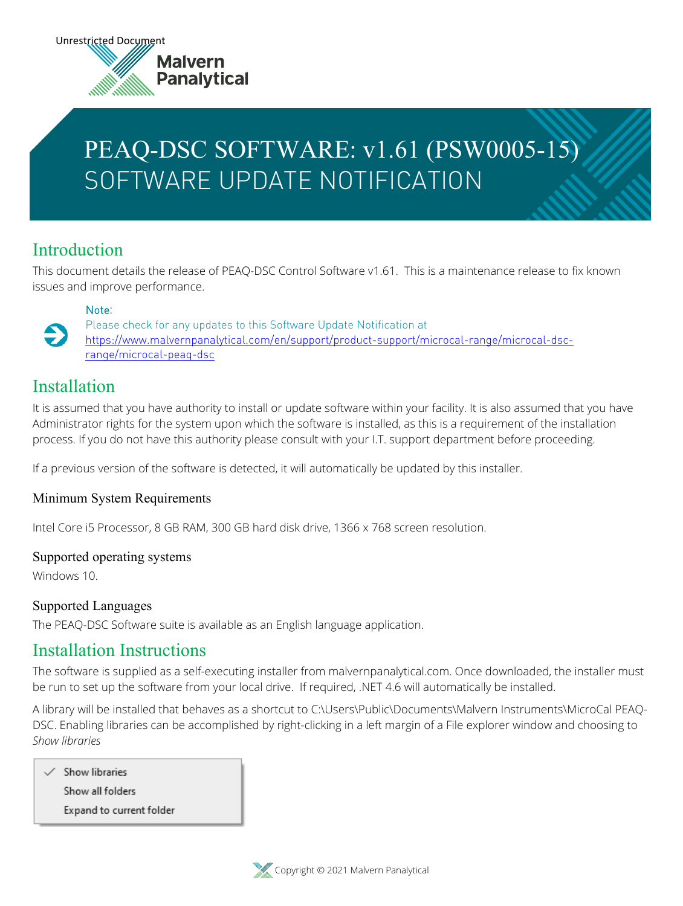# PEAQ-DSC SOFTWARE: v1.61 (PSW0005-15) SOFTWARE UPDATE NOTIFICATION

### Introduction

This document details the release of PEAQ-DSC Control Software v1.61. This is a maintenance release to fix known issues and improve performance.

#### **Note**:

Please check for any updates to this Software Update Notification at [https://www.malvernpanalytical.com/en/support/product-support/microcal-range/microcal-dsc](https://www.malvernpanalytical.com/en/support/product-support/microcal-range/microcal-dsc-range/microcal-peaq-dsc)[range/microcal-peaq-dsc](https://www.malvernpanalytical.com/en/support/product-support/microcal-range/microcal-dsc-range/microcal-peaq-dsc)

### Installation

 $\bullet$ 

It is assumed that you have authority to install or update software within your facility. It is also assumed that you have Administrator rights for the system upon which the software is installed, as this is a requirement of the installation process. If you do not have this authority please consult with your I.T. support department before proceeding.

If a previous version of the software is detected, it will automatically be updated by this installer.

#### Minimum System Requirements

Intel Core i5 Processor, 8 GB RAM, 300 GB hard disk drive, 1366 x 768 screen resolution.

#### Supported operating systems

Windows 10.

#### Supported Languages

The PEAQ-DSC Software suite is available as an English language application.

### Installation Instructions

The software is supplied as a self-executing installer from malvernpanalytical.com. Once downloaded, the installer must be run to set up the software from your local drive. If required, .NET 4.6 will automatically be installed.

A library will be installed that behaves as a shortcut to C:\Users\Public\Documents\Malvern Instruments\MicroCal PEAQ-DSC. Enabling libraries can be accomplished by right-clicking in a left margin of a File explorer window and choosing to *Show libraries*

Show libraries Show all folders Expand to current folder

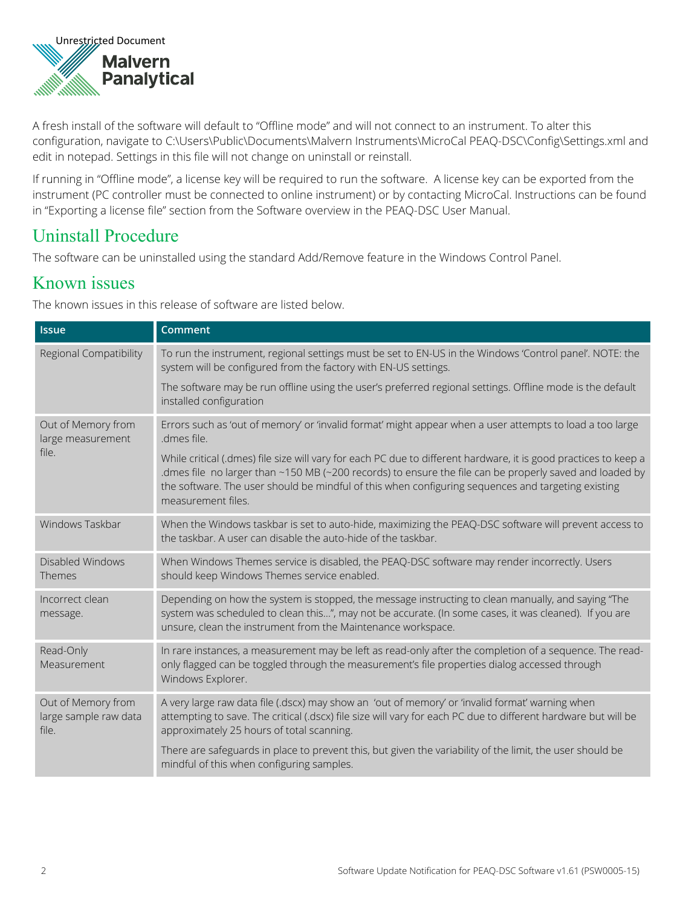

A fresh install of the software will default to "Offline mode" and will not connect to an instrument. To alter this configuration, navigate to C:\Users\Public\Documents\Malvern Instruments\MicroCal PEAQ-DSC\Config\Settings.xml and edit in notepad. Settings in this file will not change on uninstall or reinstall.

If running in "Offline mode", a license key will be required to run the software. A license key can be exported from the instrument (PC controller must be connected to online instrument) or by contacting MicroCal. Instructions can be found in "Exporting a license file" section from the Software overview in the PEAQ-DSC User Manual.

### Uninstall Procedure

The software can be uninstalled using the standard Add/Remove feature in the Windows Control Panel.

### Known issues

The known issues in this release of software are listed below.

| <b>Issue</b>                                         | Comment                                                                                                                                                                                                                                                                                                                                                |
|------------------------------------------------------|--------------------------------------------------------------------------------------------------------------------------------------------------------------------------------------------------------------------------------------------------------------------------------------------------------------------------------------------------------|
| Regional Compatibility                               | To run the instrument, regional settings must be set to EN-US in the Windows 'Control panel'. NOTE: the<br>system will be configured from the factory with EN-US settings.                                                                                                                                                                             |
|                                                      | The software may be run offline using the user's preferred regional settings. Offline mode is the default<br>installed configuration                                                                                                                                                                                                                   |
| Out of Memory from<br>large measurement<br>file.     | Errors such as 'out of memory' or 'invalid format' might appear when a user attempts to load a too large<br>.dmes file.                                                                                                                                                                                                                                |
|                                                      | While critical (.dmes) file size will vary for each PC due to different hardware, it is good practices to keep a<br>dmes file no larger than ~150 MB (~200 records) to ensure the file can be properly saved and loaded by<br>the software. The user should be mindful of this when configuring sequences and targeting existing<br>measurement files. |
| Windows Taskbar                                      | When the Windows taskbar is set to auto-hide, maximizing the PEAQ-DSC software will prevent access to<br>the taskbar. A user can disable the auto-hide of the taskbar.                                                                                                                                                                                 |
| Disabled Windows<br>Themes                           | When Windows Themes service is disabled, the PEAQ-DSC software may render incorrectly. Users<br>should keep Windows Themes service enabled.                                                                                                                                                                                                            |
| Incorrect clean<br>message.                          | Depending on how the system is stopped, the message instructing to clean manually, and saying "The<br>system was scheduled to clean this", may not be accurate. (In some cases, it was cleaned). If you are<br>unsure, clean the instrument from the Maintenance workspace.                                                                            |
| Read-Only<br>Measurement                             | In rare instances, a measurement may be left as read-only after the completion of a sequence. The read-<br>only flagged can be toggled through the measurement's file properties dialog accessed through<br>Windows Explorer.                                                                                                                          |
| Out of Memory from<br>large sample raw data<br>file. | A very large raw data file (.dscx) may show an 'out of memory' or 'invalid format' warning when<br>attempting to save. The critical (.dscx) file size will vary for each PC due to different hardware but will be<br>approximately 25 hours of total scanning.                                                                                         |
|                                                      | There are safeguards in place to prevent this, but given the variability of the limit, the user should be<br>mindful of this when configuring samples.                                                                                                                                                                                                 |